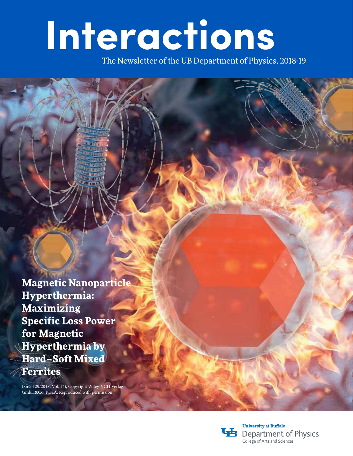# **Interactions**

The Newsletter of the UB Department of Physics, 2018-19

**Magnetic Nanoparticle Hyperthermia: Maximizing Specific Loss Power for Magnetic Hyperthermia by Hard–Soft Mixed Ferrites**

(Small 29/2018, Vol. 14), Copyright Wiley-VCH Verlag GmbH&Co. KGaA. Reproduced with permission.



**University at Buffalo Department of Physics** College of Arts and Sciences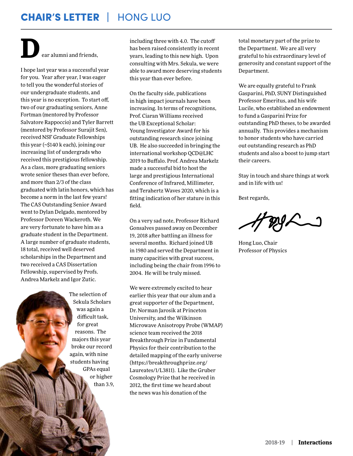## CHAIR'S LETTER | HONG LUO

ar alumni and friends, **D**

I hope last year was a successful year for you. Year after year, I was eager to tell you the wonderful stories of our undergraduate students, and this year is no exception. To start off, two of our graduating seniors, Anne Fortman (mentored by Professor Salvatore Rappoccio) and Tyler Barrett (mentored by Professor Surajit Sen), received NSF Graduate Fellowships this year (~\$140 k each), joining our increasing list of undergrads who received this prestigious fellowship. As a class, more graduating seniors wrote senior theses than ever before, and more than 2/3 of the class graduated with latin honors, which has become a norm in the last few years! The CAS Outstanding Senior Award went to Dylan Delgado, mentored by Professor Doreen Wackeroth. We are very fortunate to have him as a graduate student in the Department. A large number of graduate students, 18 total, received well deserved scholarships in the Department and two received a CAS Dissertation Fellowship, supervised by Profs. Andrea Markelz and Igor Zutic.

> The selection of Sekula Scholars was again a difficult task, for great reasons. The majors this year broke our record again, with nine students having GPAs equal or higher than 3.9,

including three with 4.0. The cutoff has been raised consistently in recent years, leading to this new high. Upon consulting with Mrs. Sekula, we were able to award more deserving students this year than ever before.

On the faculty side, publications in high impact journals have been increasing. In terms of recognitions, Prof. Ciaran Williams received the UB Exceptional Scholar: Young Investigator Award for his outstanding research since joining UB. He also succeeded in bringing the international workshop QCD@LHC 2019 to Buffalo. Prof. Andrea Markelz made a successful bid to host the large and prestigious International Conference of Infrared, Millimeter, and Terahertz Waves 2020, which is a fitting indication of her stature in this field.

On a very sad note, Professor Richard Gonsalves passed away on December 19, 2018 after battling an illness for several months. Richard joined UB in 1980 and served the Department in many capacities with great success, including being the chair from 1996 to 2004. He will be truly missed.

We were extremely excited to hear earlier this year that our alum and a great supporter of the Department, Dr. Norman Jarosik at Princeton University, and the Wilkinson Microwave Anisotropy Probe (WMAP) science team received the 2018 Breakthrough Prize in Fundamental Physics for their contribution to the detailed mapping of the early universe (https://breakthroughprize.org/ Laureates/1/L3811). Like the Gruber Cosmology Prize that he received in 2012, the first time we heard about the news was his donation of the

total monetary part of the prize to the Department. We are all very grateful to his extraordinary level of generosity and constant support of the Department.

We are equally grateful to Frank Gasparini, PhD, SUNY Distinguished Professor Emeritus, and his wife Lucile, who established an endowment to fund a Gasparini Prize for outstanding PhD theses, to be awarded annually. This provides a mechanism to honor students who have carried out outstanding research as PhD students and also a boost to jump start their careers.

Stay in touch and share things at work and in life with us!

Best regards,

Hong Luo, Chair Professor of Physics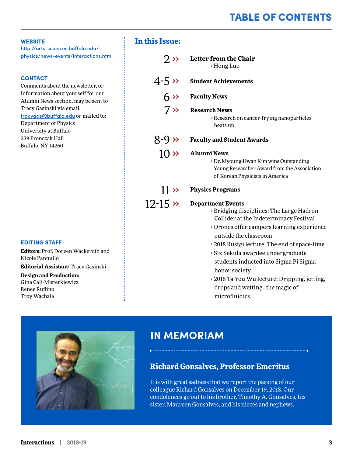## TABLE OF CONTENTS

#### **WEBSITE**

[http://arts-sciences.buffalo.edu/](http://arts-sciences.buffalo.edu/physics/news-events/interactions.html) [physics/news-events/interactions.html](http://arts-sciences.buffalo.edu/physics/news-events/interactions.html)

#### **CONTACT**

Comments about the newsletter, or information about yourself for our Alumni News section, may be sent to Tracy Gasinski via email:

tracygas@buffalo.edu or mailed to: Department of Physics University at Buffalo 239 Fronczak Hall Buffalo, NY 14260

#### **EDITING STAFF**

**Editors:** Prof. Doreen Wackeroth and Nicole Pannullo

**Editorial Assistant:** Tracy Gasinski

#### **Design and Production:**

Gina Cali-Misterkiewicz Renee Ruffino Troy Wachala

#### **In this Issue:**

| $2 \times$       | <b>Letter from the Chair</b><br>> Hong Luo                                                                                                                                                                                                                                                                                                                                                                                            |  |  |
|------------------|---------------------------------------------------------------------------------------------------------------------------------------------------------------------------------------------------------------------------------------------------------------------------------------------------------------------------------------------------------------------------------------------------------------------------------------|--|--|
| $4-5 \times$     | <b>Student Achievements</b>                                                                                                                                                                                                                                                                                                                                                                                                           |  |  |
|                  | $6 \rightarrow$ Faculty News                                                                                                                                                                                                                                                                                                                                                                                                          |  |  |
| $7 \times$       | <b>Research News</b><br>> Research on cancer-frying nanoparticles<br>heats up                                                                                                                                                                                                                                                                                                                                                         |  |  |
| 8-9 $\times$     | <b>Faculty and Student Awards</b>                                                                                                                                                                                                                                                                                                                                                                                                     |  |  |
| $10 \times$      | <b>Alumni News</b><br>> Dr. Myoung-Hwan Kim wins Outstanding<br>Young Researcher Award from the Association<br>of Korean Physicists in America                                                                                                                                                                                                                                                                                        |  |  |
| $11 \rightarrow$ | <b>Physics Programs</b>                                                                                                                                                                                                                                                                                                                                                                                                               |  |  |
| $12 - 15 \times$ | <b>Department Events</b><br>> Bridging disciplines: The Large Hadron<br>Collider at the Indeterminacy Festival<br>Drones offer campers learning experience<br>outside the classroom<br>▶ 2018 Rustgi lecture: The end of space-time<br>Six Sekula awardee undergraduate<br>students inducted into Sigma Pi Sigma<br>honor society<br>> 2018 Ta-You Wu lecture: Dripping, jetting,<br>drops and wetting: the magic of<br>microfluidics |  |  |



## **IN MEMORIAM**

### **Richard Gonsalves, Professor Emeritus**

It is with great sadness that we report the passing of our colleague Richard Gonsalves on December 19, 2018. Our condolences go out to his brother, Timothy A. Gonsalves, his sister, Maureen Gonsalves, and his nieces and nephews.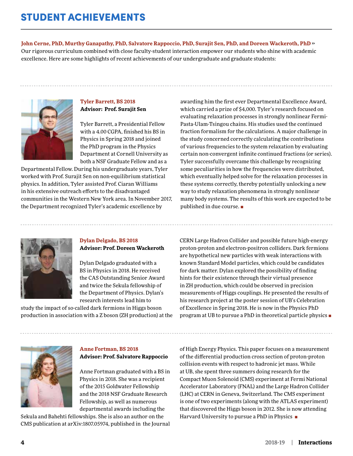**John Cerne, PhD, Murthy Ganapathy, PhD, Salvatore Rappoccio, PhD, Surajit Sen, PhD, and Doreen Wackeroth, PhD** ›› Our rigorous curriculum combined with close faculty-student interaction empower our students who shine with academic excellence. Here are some highlights of recent achievements of our undergraduate and graduate students:



#### **Tyler Barrett, BS 2018 Advisor: Prof. Surajit Sen**

Tyler Barrett, a Presidential Fellow with a 4.00 CGPA, finished his BS in Physics in Spring 2018 and joined the PhD program in the Physics Department at Cornell University as both a NSF Graduate Fellow and as a

Departmental Fellow. During his undergraduate years, Tyler worked with Prof. Surajit Sen on non-equilibrium statistical physics. In addition, Tyler assisted Prof. Ciaran Williams in his extensive outreach efforts to the disadvantaged communities in the Western New York area. In November 2017, the Department recognized Tyler's academic excellence by

awarding him the first ever Departmental Excellence Award, which carried a prize of \$4,000. Tyler's research focused on evaluating relaxation processes in strongly nonlinear Fermi-Pasta-Ulam-Tsingou chains. His studies used the continued fraction formalism for the calculations. A major challenge in the study concerned correctly calculating the contributions of various frequencies to the system relaxation by evaluating certain non-convergent infinite continued fractions (or series). Tyler successfully overcame this challenge by recognizing some peculiarities in how the frequencies were distributed, which eventually helped solve for the relaxation processes in these systems correctly, thereby potentially unlocking a new way to study relaxation phenomena in strongly nonlinear many body systems. The results of this work are expected to be published in due course. ■



#### **Dylan Delgado, BS 2018 Advisor: Prof. Doreen Wackeroth**

Dylan Delgado graduated with a BS in Physics in 2018. He received the CAS Outstanding Senior Award and twice the Sekula fellowship of the Department of Physics. Dylan's research interests lead him to

study the impact of so-called dark fermions in Higgs boson production in association with a Z boson (ZH production) at the CERN Large Hadron Collider and possible future high-energy proton-proton and electron-positron colliders. Dark fermions are hypothetical new particles with weak interactions with known Standard Model particles, which could be candidates for dark matter. Dylan explored the possibility of finding hints for their existence through their virtual presence in ZH production, which could be observed in precision measurements of Higgs couplings. He presented the results of his research project at the poster session of UB's Celebration of Excellence in Spring 2018. He is now in the Physics PhD program at UB to pursue a PhD in theoretical particle physics ■



#### **Anne Fortman, BS 2018 Advisor: Prof. Salvatore Rappoccio**

Anne Fortman graduated with a BS in Physics in 2018. She was a recipient of the 2015 Goldwater Fellowship and the 2018 NSF Graduate Research Fellowship, as well as numerous departmental awards including the

Sekula and Bahehti fellowships. She is also an author on the CMS publication at arXiv:1807.05974, published in the Journal of High Energy Physics. This paper focuses on a measurement of the differential production cross section of proton-proton collision events with respect to hadronic jet mass. While at UB, she spent three summers doing research for the Compact Muon Solenoid (CMS) experiment at Fermi National Accelerator Laboratory (FNAL) and the Large Hadron Collider (LHC) at CERN in Geneva, Switzerland. The CMS experiment is one of two experiments (along with the ATLAS experiment) that discovered the Higgs boson in 2012. She is now attending Harvard University to pursue a PhD in Physics ■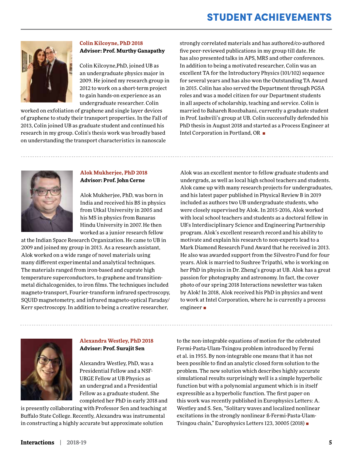## STUDENT ACHIEVEMENTS



#### **Colin Kilcoyne, PhD 2018 Advisor: Prof. Murthy Ganapathy**

Colin Kilcoyne,PhD, joined UB as an undergraduate physics major in 2009. He joined my research group in 2012 to work on a short-term project to gain hands-on experience as an undergraduate researcher. Colin

worked on exfoliation of graphene and single layer devices of graphene to study their transport properties. In the Fall of 2013, Colin joined UB as graduate student and continued his research in my group. Colin's thesis work was broadly based on understanding the transport characteristics in nanoscale

strongly correlated materials and has authored/co-authored five peer-reviewed publications in my group till date. He has also presented talks in APS, MRS and other conferences. In addition to being a motivated researcher, Colin was an excellent TA for the Introductory Physics (101/102) sequence for several years and has also won the Outstanding TA Award in 2015. Colin has also served the Department through PGSA roles and was a model citizen for our Department students in all aspects of scholarship, teaching and service. Colin is married to Bahareh Roozbahani, currently a graduate student in Prof. Iashvili's group at UB. Colin successfully defended his PhD thesis in August 2018 and started as a Process Engineer at Intel Corporation in Portland, OR ■



#### **Alok Mukherjee, PhD 2018 Advisor: Prof. John Cerne**

Alok Mukherjee, PhD, was born in India and received his BS in physics from Utkal University in 2005 and his MS in physics from Banaras Hindu University in 2007. He then worked as a junior research fellow

at the Indian Space Research Organization. He came to UB in 2009 and joined my group in 2013. As a research assistant, Alok worked on a wide range of novel materials using many different experimental and analytical techniques. The materials ranged from iron-based and cuprate high temperature superconductors, to graphene and transitionmetal dichalcogenides, to iron films. The techniques included magneto-transport, Fourier-transform infrared spectroscopy, SQUID magnetometry, and infrared magneto-optical Faraday/ Kerr spectroscopy. In addition to being a creative researcher,

Alok was an excellent mentor to fellow graduate students and undergrads, as well as local high school teachers and students. Alok came up with many research projects for undergraduates, and his latest paper published in Physical Review B in 2019 included as authors two UB undergraduate students, who were closely supervised by Alok. In 2015-2016, Alok worked with local school teachers and students as a doctoral fellow in UB's Interdisciplinary Science and Engineering Partnership program. Alok's excellent research record and his ability to motivate and explain his research to non-experts lead to a Mark Diamond Research Fund Award that he received in 2013. He also was awarded support from the Silvestro Fund for four years. Alok is married to Sushree Tripathi, who is working on her PhD in physics in Dr. Zheng's group at UB. Alok has a great passion for photography and astronomy. In fact, the cover photo of our spring 2018 Interactions newsletter was taken by Alok! In 2018, Alok received his PhD in physics and went to work at Intel Corporation, where he is currently a process engineer ■



#### **Alexandra Westley, PhD 2018 Advisor: Prof. Surajit Sen**

Alexandra Westley, PhD, was a Presidential Fellow and a NSF-URGE Fellow at UB Physics as an undergrad and a Presidential Fellow as a graduate student. She completed her PhD in early 2018 and

is presently collaborating with Professor Sen and teaching at Buffalo State College. Recently, Alexandra was instrumental in constructing a highly accurate but approximate solution

to the non-integrable equations of motion for the celebrated Fermi-Pasta-Ulam-Tsingou problem introduced by Fermi et al. in 1955. By non-integrable one means that it has not been possible to find an analytic closed form solution to the problem. The new solution which describes highly accurate simulational results surprisingly well is a simple hyperbolic function but with a polynomial argument which is in itself expressible as a hyperbolic function. The first paper on this work was recently published in Europhysics Letters: A. Westley and S. Sen, "Solitary waves and localized nonlinear excitations in the strongly nonlinear ß-Fermi-Pasta-Ulam-Tsingou chain," Europhysics Letters 123, 30005 (2018) ■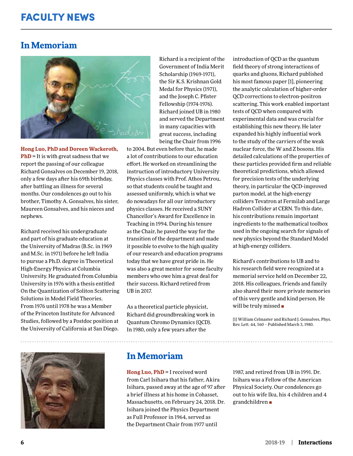## FACULTY NEWS

## **In Memoriam**



**Hong Luo, PhD and Doreen Wackeroth, PhD** ›› It is with great sadness that we report the passing of our colleague Richard Gonsalves on December 19, 2018, only a few days after his 69th birthday, after battling an illness for several months. Our condolences go out to his brother, Timothy A. Gonsalves, his sister, Maureen Gonsalves, and his nieces and nephews.

Richard received his undergraduate and part of his graduate education at the University of Madras (B.Sc. in 1969 and M.Sc. in 1971) before he left India to pursue a Ph.D. degree in Theoretical High-Energy Physics at Columbia University. He graduated from Columbia University in 1976 with a thesis entitled On the Quantization of Soliton Scattering Solutions in Model Field Theories. From 1976 until 1978 he was a Member of the Princeton Institute for Advanced Studies, followed by a Postdoc position at the University of California at San Diego.



Richard is a recipient of the Government of India Merit Scholarship (1969-1971), the Sir K.S. Krishnan Gold Medal for Physics (1971), and the Joseph C. Pfister Fellowship (1974-1976). Richard joined UB in 1980 and served the Department in many capacities with great success, including being the Chair from 1996

to 2004. But even before that, he made a lot of contributions to our education effort. He worked on streamlining the instruction of introductory University Physics classes with Prof. Athos Petrou, so that students could be taught and assessed uniformly, which is what we do nowadays for all our introductory physics classes. He received a SUNY Chancellor's Award for Excellence in Teaching in 1994. During his tenure as the Chair, he paved the way for the transition of the department and made it possible to evolve to the high quality of our research and education programs today that we have great pride in. He was also a great mentor for some faculty members who owe him a great deal for their success. Richard retired from UB in 2017.

As a theoretical particle physicist, Richard did groundbreaking work in Quantum Chromo Dynamics (QCD). In 1980, only a few years after the

**In Memoriam**

**Hong Luo, PhD** ›› I received word from Carl Isihara that his father, Akira Isihara, passed away at the age of 97 after a brief illness at his home in Cohasset, Massachusetts, on February 24, 2018. Dr. Isihara joined the Physics Department as Full Professor in 1964, served as the Department Chair from 1977 until

introduction of QCD as the quantum field theory of strong interactions of quarks and gluons, Richard published his most famous paper [1], pioneering the analytic calculation of higher-order QCD corrections to electron-positron scattering. This work enabled important tests of QCD when compared with experimental data and was crucial for establishing this new theory. He later expanded his highly influential work to the study of the carriers of the weak nuclear force, the W and Z bosons. His detailed calculations of the properties of these particles provided firm and reliable theoretical predictions, which allowed for precision tests of the underlying theory, in particular the QCD-improved parton model, at the high-energy colliders Tevatron at Fermilab and Large Hadron Collider at CERN. To this date, his contributions remain important ingredients to the mathematical toolbox used in the ongoing search for signals of new physics beyond the Standard Model at high-energy colliders.

Richard's contributions to UB and to his research field were recognized at a memorial service held on December 22, 2018. His colleagues, friends and family also shared their more private memories of this very gentle and kind person. He will be truly missed ■

[1] William Celmaster and Richard J. Gonsalves, Phys. Rev. Lett. 44, 560 – Published March 3, 1980.

1987, and retired from UB in 1991. Dr. Isihara was a Fellow of the American Physical Society. Our condolences go out to his wife Iku, his 4 children and 4 grandchildren ■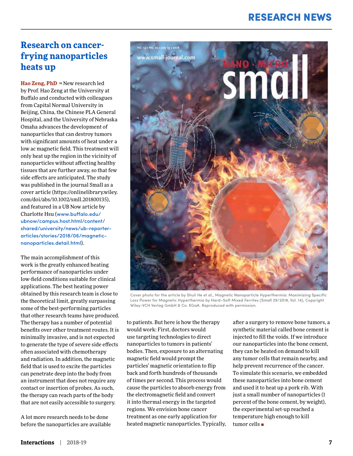## RESEARCH NEWS

## **Research on cancerfrying nanoparticles heats up**

**Hao Zeng, PhD** ›› New research led by Prof. Hao Zeng at the University at Buffalo and conducted with colleagues from Capital Normal University in Beijing, China, the Chinese PLA General Hospital, and the University of Nebraska Omaha advances the development of nanoparticles that can destroy tumors with significant amounts of heat under a low ac magnetic field. This treatment will only heat up the region in the vicinity of nanoparticles without affecting healthy tissues that are further away, so that few side effects are anticipated. The study was published in the journal Small as a cover article (https://onlinelibrary.wiley. com/doi/abs/10.1002/smll.201800135), and featured in a UB Now article by Charlotte Hsu ([www.buffalo.edu/](http://www.buffalo.edu/ubnow/campus.host.html/content/shared/university/news/ub-reporter-articles/stories/2018/06/magnetic-nanoparticles.detail.html) [ubnow/campus.host.html/content/](http://www.buffalo.edu/ubnow/campus.host.html/content/shared/university/news/ub-reporter-articles/stories/2018/06/magnetic-nanoparticles.detail.html) [shared/university/news/ub-reporter](http://www.buffalo.edu/ubnow/campus.host.html/content/shared/university/news/ub-reporter-articles/stories/2018/06/magnetic-nanoparticles.detail.html)[articles/stories/2018/06/magnetic](http://www.buffalo.edu/ubnow/campus.host.html/content/shared/university/news/ub-reporter-articles/stories/2018/06/magnetic-nanoparticles.detail.html)[nanoparticles.detail.html](http://www.buffalo.edu/ubnow/campus.host.html/content/shared/university/news/ub-reporter-articles/stories/2018/06/magnetic-nanoparticles.detail.html)).

The main accomplishment of this work is the greatly enhanced heating performance of nanoparticles under low-field conditions suitable for clinical applications. The best heating power obtained by this research team is close to the theoretical limit, greatly surpassing some of the best-performing particles that other research teams have produced. The therapy has a number of potential benefits over other treatment routes. It is minimally invasive, and is not expected to generate the type of severe side effects often associated with chemotherapy and radiation. In addition, the magnetic field that is used to excite the particles can penetrate deep into the body from an instrument that does not require any contact or insertion of probes. As such, the therapy can reach parts of the body that are not easily accessible to surgery.

A lot more research needs to be done before the nanoparticles are available



Cover photo for the article by Shuli He et al., Magnetic Nanoparticle Hyperthermia: Maximizing Specific Loss Power for Magnetic Hyperthermia by Hard–Soft Mixed Ferrites (Small 29/2018, Vol. 14), Copyright Wiley-VCH Verlag GmbH & Co. KGaA. Reproduced with permission.

to patients. But here is how the therapy would work: First, doctors would use targeting technologies to direct nanoparticles to tumors in patients' bodies. Then, exposure to an alternating magnetic field would prompt the particles' magnetic orientation to flip back and forth hundreds of thousands of times per second. This process would cause the particles to absorb energy from the electromagnetic field and convert it into thermal energy in the targeted regions. We envision bone cancer treatment as one early application for heated magnetic nanoparticles. Typically,

after a surgery to remove bone tumors, a synthetic material called bone cement is injected to fill the voids. If we introduce our nanoparticles into the bone cement, they can be heated on demand to kill any tumor cells that remain nearby, and help prevent recurrence of the cancer. To simulate this scenario, we embedded these nanoparticles into bone cement and used it to heat up a pork rib. With just a small number of nanoparticles (1 percent of the bone cement, by weight), the experimental set-up reached a temperature high enough to kill tumor cells ■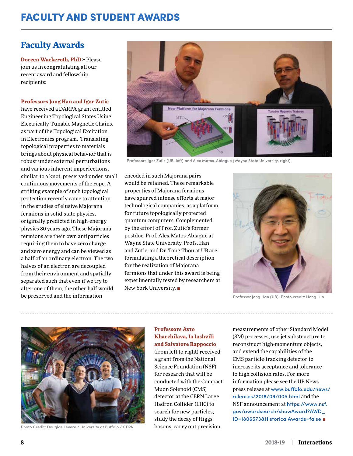## **Faculty Awards**

**Doreen Wackeroth, PhD** ›› Please join us in congratulating all our recent award and fellowship recipients:

#### **Professors Jong Han and Igor Zutic**

have received a DARPA grant entitled Engineering Topological States Using Electrically-Tunable Magnetic Chains, as part of the Topological Excitation in Electronics program. Translating topological properties to materials brings about physical behavior that is robust under external perturbations and various inherent imperfections, similar to a knot, preserved under small continuous movements of the rope. A striking example of such topological protection recently came to attention in the studies of elusive Majorana fermions in solid-state physics, originally predicted in high-energy physics 80 years ago. These Majorana fermions are their own antiparticles requiring them to have zero charge and zero energy and can be viewed as a half of an ordinary electron. The two halves of an electron are decoupled from their environment and spatially separated such that even if we try to alter one of them, the other half would be preserved and the information



Professors Igor Zutic (UB, left) and Alex Matos-Abiague (Wayne State University, right).

encoded in such Majorana pairs would be retained. These remarkable properties of Majorana fermions have spurred intense efforts at major technological companies, as a platform for future topologically protected quantum computers. Complemented by the effort of Prof. Zutic's former postdoc, Prof. Alex Matos-Abiague at Wayne State University, Profs. Han and Zutic, and Dr. Tong Thou at UB are formulating a theoretical description for the realization of Majorana fermions that under this award is being experimentally tested by researchers at New York University. ■



Professor Jong Han (UB). Photo credit: Hong Luo



Photo Credit: Douglas Levere / University at Buffalo / CERN

#### **Professors Avto Kharchilava, Ia Iashvili and Salvatore Rappoccio**

(from left to right) received a grant from the National Science Foundation (NSF) for research that will be conducted with the Compact Muon Solenoid (CMS) detector at the CERN Large Hadron Collider (LHC) to search for new particles, study the decay of Higgs bosons, carry out precision

measurements of other Standard Model (SM) processes, use jet substructure to reconstruct high-momentum objects, and extend the capabilities of the CMS particle-tracking detector to increase its acceptance and tolerance to high collision rates. For more information please see the UB News press release at [www.buffalo.edu/news/](http://www.buffalo.edu/news/releases/2018/09/005.html) [releases/2018/09/005.html](http://www.buffalo.edu/news/releases/2018/09/005.html) and the NSF announcement at [https://www.nsf.](https://www.nsf.gov/awardsearch/showAward?AWD_ID=1806573&HistoricalAwards=false) [gov/awardsearch/showAward?AWD\\_](https://www.nsf.gov/awardsearch/showAward?AWD_ID=1806573&HistoricalAwards=false) [ID=1806573&HistoricalAwards=false](https://www.nsf.gov/awardsearch/showAward?AWD_ID=1806573&HistoricalAwards=false) ■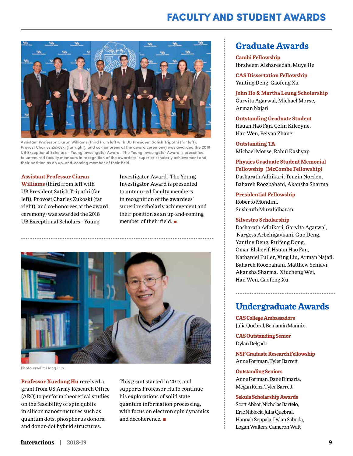## FACULTY AND STUDENT AWARDS



Assistant Professor Ciaran Williams (third from left with UB President Satish Tripathi (far left), Provost Charles Zukoski (far right), and co-honorees at the award ceremony) was awarded the 2018 UB Exceptional Scholars - Young Investigator Award. The Young Investigator Award is presented to untenured faculty members in recognition of the awardees' superior scholarly achievement and their position as an up-and-coming member of their field.

**Assistant Professor Ciaran** 

**Williams** (third from left with UB President Satish Tripathi (far left), Provost Charles Zukoski (far right), and co-honorees at the award ceremony) was awarded the 2018 UB Exceptional Scholars - Young

Investigator Award. The Young Investigator Award is presented to untenured faculty members in recognition of the awardees' superior scholarly achievement and their position as an up-and-coming member of their field. ■



Photo credit: Hong Luo

**Professor Xuedong Hu** received a grant from US Army Research Office (ARO) to perform theoretical studies on the feasibility of spin qubits in silicon nanostructures such as quantum dots, phosphorus donors, and donor-dot hybrid structures.

This grant started in 2017, and supports Professor Hu to continue his explorations of solid state quantum information processing, with focus on electron spin dynamics and decoherence. ■

## **Graduate Awards**

**Cambi Fellowship**  Ibraheem Alshareedah, Muye He

**CAS Dissertation Fellowship** Yanting Deng, Gaofeng Xu

**John Ho & Martha Leung Scholarship** Garvita Agarwal, Michael Morse, Arman Najafi

**Outstanding Graduate Student** Hsuan Hao Fan, Colin Kilcoyne, Han Wen, Peiyao Zhang

**Outstanding TA** Michael Morse, Rahul Kashyap

**Physics Graduate Student Memorial Fellowship (McCombe Fellowship)** Dasharath Adhikari, Tenzin Norden, Bahareh Roozbahani, Akansha Sharma

**Presidential Fellowship**  Roberto Mondini, Sushruth Muralidharan

#### **Silvestro Scholarship**

Dasharath Adhikari, Garvita Agarwal, Nargess Arbchigavkani, Guo Deng, Yanting Deng, Ruifeng Dong, Omar Elsherif, Hsuan Hao Fan, Nathaniel Fuller, Xing Liu, Arman Najafi, Bahareh Roozbahani, Matthew Schiavi, Akansha Sharma, Xiucheng Wei, Han Wen, Gaofeng Xu

## **Undergraduate Awards**

**CAS College Ambassadors** Julia Quebral, Benjamin Mannix

**CAS Outstanding Senior** Dylan Delgado

**NSF Graduate Research Fellowship** Anne Fortman, Tyler Barrett

#### **Outstanding Seniors**

Anne Fortman, Dane Dimaria, Megan Renz, Tyler Barrett

#### **Sekula Scholarship Awards**

Scott Abbot, Nicholas Bartelo, Eric Niblock, Julia Quebral, Hannah Seppala, Dylan Sabuda, Logan Walters, Cameron Watt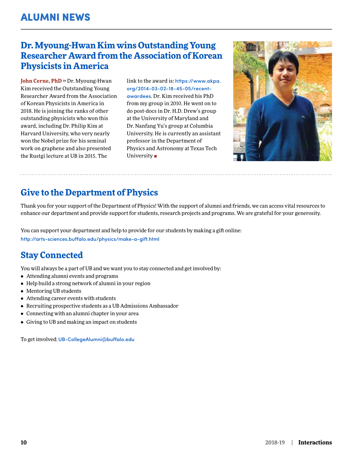## **Dr. Myoung-Hwan Kim wins Outstanding Young Researcher Award from the Association of Korean Physicists in America**

John Cerne, PhD » Dr. Myoung-Hwan Kim received the Outstanding Young Researcher Award from the Association of Korean Physicists in America in 2018. He is joining the ranks of other outstanding physicists who won this award, including Dr. Philip Kim at Harvard University, who very nearly won the Nobel prize for his seminal work on graphene and also presented the Rustgi lecture at UB in 2015. The

link to the award is: [https://www.akpa.](https://www.akpa.org/2014-03-02-18-45-05/recent-awardees) [org/2014-03-02-18-45-05/recent](https://www.akpa.org/2014-03-02-18-45-05/recent-awardees)[awardees](https://www.akpa.org/2014-03-02-18-45-05/recent-awardees). Dr. Kim received his PhD from my group in 2010. He went on to do post-docs in Dr. H.D. Drew's group at the University of Maryland and Dr. Nanfang Yu's group at Columbia University. He is currently an assistant professor in the Department of Physics and Astronomy at Texas Tech University ■



## **Give to the Department of Physics**

Thank you for your support of the Department of Physics! With the support of alumni and friends, we can access vital resources to enhance our department and provide support for students, research projects and programs. We are grateful for your generosity.

You can support your department and help to provide for our students by making a gift online: http://arts-sciences.buffalo.edu/physics/make-a-gift.html

## **Stay Connected**

You will always be a part of UB and we want you to stay connected and get involved by:

- Attending alumni events and programs
- Help build a strong network of alumni in your region
- Mentoring UB students
- Attending career events with students
- Recruiting prospective students as a UB Admissions Ambassador
- Connecting with an alumni chapter in your area
- Giving to UB and making an impact on students

To get involved: UB-CollegeAlumni@buffalo.edu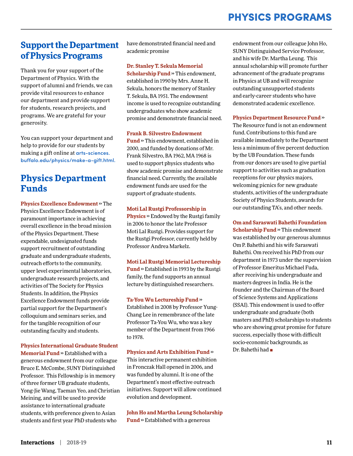## PHYSICS PROGRAMS

## **Support the Department of Physics Programs**

Thank you for your support of the Department of Physics. With the support of alumni and friends, we can provide vital resources to enhance our department and provide support for students, research projects, and programs. We are grateful for your generosity.

You can support your department and help to provide for our students by making a gift online at [arts-sciences.](http://arts-sciences.buffalo.edu/physics/make-a-gift.html) [buffalo.edu/physics/make-a-gift.html.](http://arts-sciences.buffalo.edu/physics/make-a-gift.html)

## **Physics Department Funds**

**Physics Excellence Endowment** ›› The Physics Excellence Endowment is of paramount importance in achieving overall excellence in the broad mission of the Physics Department. These expendable, undesignated funds support recruitment of outstanding graduate and undergraduate students, outreach efforts to the community, upper level experimental laboratories, undergraduate research projects, and activities of The Society for Physics Students. In addition, the Physics Excellence Endowment funds provide partial support for the Department's colloquium and seminars series, and for the tangible recognition of our outstanding faculty and students.

#### **Physics International Graduate Student Memorial Fund** » Established with a generous endowment from our colleague Bruce E. McCombe, SUNY Distinguished

Professor. This Fellowship is in memory of three former UB graduate students, Yong-Jie Wang, Taeman Yeo, and Christian Meining, and will be used to provide assistance to international graduate students, with preference given to Asian students and first year PhD students who

have demonstrated financial need and academic promise

#### **Dr. Stanley T. Sekula Memorial**

**Scholarship Fund** » This endowment, established in 1990 by Mrs. Anne H. Sekula, honors the memory of Stanley T. Sekula, BA 1951. The endowment income is used to recognize outstanding undergraduates who show academic promise and demonstrate financial need.

#### **Frank B. Silvestro Endowment**

**Fund** ›› This endowment, established in 2000, and funded by donations of Mr. Frank Silvestro, BA 1962, MA 1968 is used to support physics students who show academic promise and demonstrate financial need. Currently, the available endowment funds are used for the support of graduate students.

#### **Moti Lal Rustgi Professorship in**

**Physics** » Endowed by the Rustgi family in 2006 to honor the late Professor Moti Lal Rustgi. Provides support for the Rustgi Professor, currently held by Professor Andrea Markelz.

**Moti Lal Rustgi Memorial Lectureship Fund** ›› Established in 1993 by the Rustgi family, the fund supports an annual lecture by distinguished researchers.

#### **Ta-You Wu Lectureship Fund** ››

Established in 2008 by Professor Yung-Chang Lee in remembrance of the late Professor Ta-You Wu, who was a key member of the Department from 1966 to 1978.

#### **Physics and Arts Exhibition Fund** ››

This interactive permanent exhibition in Fronczak Hall opened in 2006, and was funded by alumni. It is one of the Department's most effective outreach initiatives. Support will allow continued evolution and development.

**John Ho and Martha Leung Scholarship Fund** » Established with a generous

endowment from our colleague John Ho, SUNY Distinguished Service Professor, and his wife Dr. Martha Leung. This annual scholarship will promote further advancement of the graduate programs in Physics at UB and will recognize outstanding unsupported students and early-career students who have demonstrated academic excellence.

#### **Physics Department Resource Fund** ››

The Resource fund is not an endowment fund. Contributions to this fund are available immediately to the Department less a minimum of five percent deduction by the UB Foundation. These funds from our donors are used to give partial support to activities such as graduation receptions for our physics majors, welcoming picnics for new graduate students, activities of the undergraduate Society of Physics Students, awards for our outstanding TA's, and other needs.

**Om and Saraswati Bahethi Foundation Scholarship Fund** » This endowment was established by our generous alumnus Om P. Bahethi and his wife Saraswati Bahethi. Om received his PhD from our department in 1973 under the supervision of Professor Emeritus Michael Fuda, after receiving his undergraduate and masters degrees in India. He is the founder and the Chairman of the Board of Science Systems and Applications (SSAI). This endowment is used to offer undergraduate and graduate (both masters and PhD) scholarships to students who are showing great promise for future success, especially those with difficult socio-economic backgrounds, as Dr. Bahethi had ■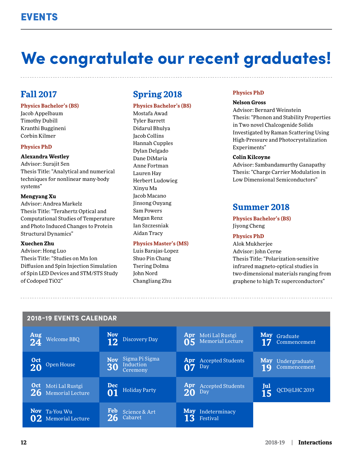## **We congratulate our recent graduates!**

## **Fall 2017**

#### **Physics Bachelor's (BS)**

Jacob Appelbaum Timothy Dubill Kranthi Buggineni Corbin Kilmer

#### **Physics PhD**

#### **Alexandra Westley**

Advisor: Surajit Sen Thesis Title: "Analytical and numerical techniques for nonlinear many-body systems"

#### **Mengyang Xu**

Advisor: Andrea Markelz Thesis Title: "Terahertz Optical and Computational Studies of Temperature and Photo Induced Changes to Protein Structural Dynamics"

#### **Xuechen Zhu**

Advisor: Hong Luo Thesis Title: "Studies on Mn Ion Diffusion and Spin Injection Simulation of Spin LED Devices and STM/STS Study of Codoped TiO2"

## **Spring 2018**

#### **Physics Bachelor's (BS)**

Mostafa Awad Tyler Barrett Didarul Bhulya Jacob Collins Hannah Cupples Dylan Delgado Dane DiMaria Anne Fortman Lauren Hay Herbert Ludowieg Xinyu Ma Jacob Macano Jinsong Ouyang Sam Powers Megan Renz Ian Szczesniak Aidan Tracy

#### **Physics Master's (MS)**

Luis Barajas-Lopez Shuo Pin Chang Tsering Dolma John Nord Changliang Zhu

#### **Physics PhD**

#### **Nelson Gross**

Advisor: Bernard Weinstein Thesis: "Phonon and Stability Properties in Two novel Chalcogenide Solids Investigated by Raman Scattering Using High-Pressure and Photocrystalization Experiments"

#### **Colin Kilcoyne**

Advisor: Sambandamurthy Ganapathy Thesis: "Charge Carrier Modulation in Low Dimensional Semiconductors"

## **Summer 2018**

**Physics Bachelor's (BS)** Jiyong Cheng

#### **Physics PhD**

Alok Mukherjee Advisor: John Cerne Thesis Title: "Polarization-sensitive infrared magneto-optical studies in two-dimensional materials ranging from graphene to high Tc superconductors"

| Aug<br><b>Welcome BBQ</b>                  | <b>Nov</b><br>Discovery Day<br>12                           | Apr Moti Lal Rustgi<br>Memorial Lecture | May Graduate<br>Commencement                    |
|--------------------------------------------|-------------------------------------------------------------|-----------------------------------------|-------------------------------------------------|
| Oct<br>Open House                          | Sigma Pi Sigma<br><b>Nov</b><br>Induction<br>30<br>Ceremony | <b>Apr</b> Accepted Students<br>Day     | <b>May</b> Undergraduate<br>Commencement<br>LQ. |
| Oct Moti Lal Rustgi<br>26 Memorial Lecture | <b>Dec</b><br><b>Holiday Party</b><br>01                    | Apr<br><b>Accepted Students</b><br>Day  | Jul<br>QCD@LHC 2019                             |
| Nov Ta-You Wu<br>Memorial Lecture          | <b>Feb</b><br>Science & Art<br>Cabaret                      | <b>May</b> Indeterminacy<br>Festival    |                                                 |

#### **2018-19 EVENTS CALENDAR**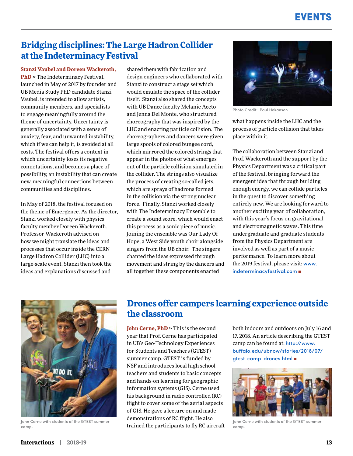## EVENTS

## **Bridging disciplines: The Large Hadron Collider at the Indeterminacy Festival**

**Stanzi Vaubel and Doreen Wackeroth, PhD** » The Indeterminacy Festival, launched in May of 2017 by founder and UB Media Study PhD candidate Stanzi Vaubel, is intended to allow artists, community members, and specialists to engage meaningfully around the theme of uncertainty. Uncertainty is generally associated with a sense of anxiety, fear, and unwanted instability, which if we can help it, is avoided at all costs. The festival offers a context in which uncertainty loses its negative connotations, and becomes a place of possibility, an instability that can create new, meaningful connections between communities and disciplines.

In May of 2018, the festival focused on the theme of Emergence. As the director, Stanzi worked closely with physics faculty member Doreen Wackeroth. Professor Wackeroth advised on how we might translate the ideas and processes that occur inside the CERN Large Hadron Collider (LHC) into a large-scale event. Stanzi then took the ideas and explanations discussed and

shared them with fabrication and design engineers who collaborated with Stanzi to construct a stage set which would emulate the space of the collider itself. Stanzi also shared the concepts with UB Dance faculty Melanie Aceto and Jenna Del Monte, who structured choreography that was inspired by the LHC and enacting particle collision. The choreographers and dancers were given large spools of colored bungee cord, which mirrored the colored strings that appear in the photos of what emerges out of the particle collision simulated in the collider. The strings also visualize the process of creating so-called jets, which are sprays of hadrons formed in the collision via the strong nuclear force. Finally, Stanzi worked closely with The Indeterminacy Ensemble to create a sound score, which would enact this process as a sonic piece of music. Joining the ensemble was Our Lady Of Hope, a West Side youth choir alongside singers from the UB choir. The singers chanted the ideas expressed through movement and string by the dancers and all together these components enacted



Photo Credit: Paul Hokanson

what happens inside the LHC and the process of particle collision that takes place within it.

The collaboration between Stanzi and Prof. Wackeroth and the support by the Physics Department was a critical part of the festival, bringing forward the emergent idea that through building enough energy, we can collide particles in the quest to discover something entirely new. We are looking forward to another exciting year of collaboration, with this year's focus on gravitational and electromagnetic waves. This time undergraduate and graduate students from the Physics Department are involved as well as part of a music performance. To learn more about the 2019 festival, please visit: [www.](http://www.indeterminacyfestival.com) [indeterminacyfestival.com](http://www.indeterminacyfestival.com) ■



John Cerne with students of the GTEST summer camp.

## **Drones offer campers learning experience outside the classroom**

**John Cerne, PhD**  $\rightarrow$  This is the second year that Prof. Cerne has participated in UB's Geo-Technology Experiences for Students and Teachers (GTEST) summer camp. GTEST is funded by NSF and introduces local high school teachers and students to basic concepts and hands-on learning for geographic information systems (GIS). Cerne used his background in radio controlled (RC) flight to cover some of the aerial aspects of GIS. He gave a lecture on and made demonstrations of RC flight. He also trained the participants to fly RC aircraft both indoors and outdoors on July 16 and 17, 2018. An article describing the GTEST camp can be found at: [http://www.](http://www.buffalo.edu/ubnow/stories/2018/07/gtest-camp-drones.html) [buffalo.edu/ubnow/stories/2018/07/](http://www.buffalo.edu/ubnow/stories/2018/07/gtest-camp-drones.html) [gtest-camp-drones.html](http://www.buffalo.edu/ubnow/stories/2018/07/gtest-camp-drones.html) ■



John Cerne with students of the GTEST summer camp.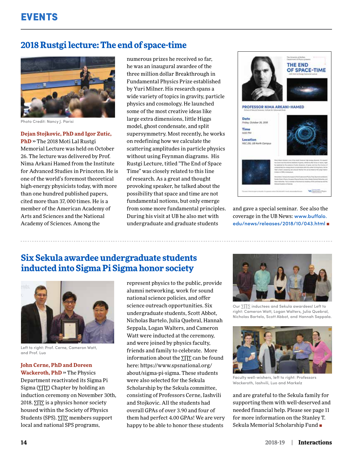## **2018 Rustgi lecture: The end of space-time**



Photo Credit: Nancy J. Parisi

#### **Dejan Stojkovic, PhD and Igor Zutic,**

**PhD** ›› The 2018 Moti Lal Rustgi Memorial Lecture was held on October 26. The lecture was delivered by Prof. Nima Arkani Hamed from the Institute for Advanced Studies in Princeton. He is one of the world's foremost theoretical high-energy physicists today, with more than one hundred published papers, cited more than 37, 000 times. He is a member of the American Academy of Arts and Sciences and the National Academy of Sciences. Among the

numerous prizes he received so far, he was an inaugural awardee of the three million dollar Breakthrough in Fundamental Physics Prize established by Yuri Milner. His research spans a wide variety of topics in gravity, particle physics and cosmology. He launched some of the most creative ideas like large extra dimensions, little Higgs model, ghost condensate, and split supersymmetry. Most recently, he works on redefining how we calculate the scattering amplitudes in particle physics without using Feynman diagrams. His Rustgi Lecture, titled "The End of Space Time" was closely related to this line of research. As a great and thought provoking speaker, he talked about the possibility that space and time are not fundamental notions, but only emerge from some more fundamental principles. During his visit at UB he also met with undergraduate and graduate students



and gave a special seminar. See also the coverage in the UB News: [www.buffalo.](http://www.buffalo.edu/news/releases/2018/10/043.html) [edu/news/releases/2018/10/043.html](http://www.buffalo.edu/news/releases/2018/10/043.html)

## **Six Sekula awardee undergraduate students inducted into Sigma Pi Sigma honor society**



Left to right: Prof. Cerne, Cameron Watt, and Prof. Luo

#### **John Cerne, PhD and Doreen**

**Wackeroth, PhD** ›› The Physics Department reactivated its Sigma Pi Sigma (∑Π∑) Chapter by holding an induction ceremony on November 30th, 2018.  $\Sigma \Pi \Sigma$  is a physics honor society housed within the Society of Physics Students (SPS). ∑Π∑ members support local and national SPS programs,

represent physics to the public, provide alumni networking, work for sound national science policies, and offer science outreach opportunities. Six undergraduate students, Scott Abbot, Nicholas Bartelo, Julia Quebral, Hannah Seppala, Logan Walters, and Cameron Watt were inducted at the ceremony, and were joined by physics faculty, friends and family to celebrate. More information about the ∑Π∑ can be found here: https://www.spsnational.org/ about/sigma-pi-sigma. These students were also selected for the Sekula Scholarship by the Sekula committee, consisting of Professors Cerne, Iashvili and Stojkovic. All the students had overall GPAs of over 3.90 and four of them had perfect 4.00 GPAs! We are very happy to be able to honor these students



Our ∑Π∑ inductees and Sekula awardees! Left to right: Cameron Watt, Logan Walters, Julia Quebral, Nicholas Bartelo, Scott Abbot, and Hannah Seppala.



Faculty well-wishers, left to right: Professors Wackeroth, Iashvili, Luo and Markelz

and are grateful to the Sekula family for supporting them with well-deserved and needed financial help. Please see page 11 for more information on the Stanley T. Sekula Memorial Scholarship Fund ■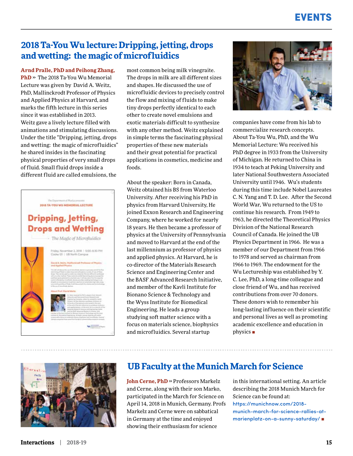## **2018 Ta-You Wu lecture: Dripping, jetting, drops and wetting: the magic of microfluidics**

**Arnd Pralle, PhD and Peihong Zhang, PhD** ›› The 2018 Ta-You Wu Memorial Lecture was given by David A. Weitz, PhD, Mallinckrodt Professor of Physics and Applied Physics at Harvard, and marks the fifth lecture in this series since it was established in 2013. Weitz gave a lively lecture filled with animations and stimulating discussions. Under the title "Dripping, jetting, drops and wetting: the magic of microfluidics" he shared insides in the fascinating physical properties of very small drops of fluid. Small fluid drops inside a different fluid are called emulsions, the



most common being milk vinegraite. The drops in milk are all different sizes and shapes. He discussed the use of microfluidic devices to precisely control the flow and mixing of fluids to make tiny drops perfectly identical to each other to create novel emulsions and exotic materials difficult to synthesize with any other method. Weitz explained in simple terms the fascinating physical properties of these new materials and their great potential for practical applications in cosmetics, medicine and foods.

About the speaker: Born in Canada, Weitz obtained his BS from Waterloo University. After receiving his PhD in physics from Harvard University, He joined Exxon Research and Engineering Company, where he worked for nearly 18 years. He then became a professor of physics at the University of Pennsylvania and moved to Harvard at the end of the last millennium as professor of physics and applied physics. At Harvard, he is co-director of the Materials Research Science and Engineering Center and the BASF Advanced Research Initiative, and member of the Kavli Institute for Bionano Science & Technology and the Wyss Institute for Biomedical Engineering. He leads a group studying soft matter science with a focus on materials science, biophysics and microfluidics. Several startup



companies have come from his lab to commercialize research concepts. About Ta-You Wu, PhD, and the Wu Memorial Lecture: Wu received his PhD degree in 1933 from the University of Michigan. He returned to China in 1934 to teach at Peking University and later National Southwestern Associated University until 1946. Wu's students during this time include Nobel Laureates C. N. Yang and T. D. Lee. After the Second World War, Wu returned to the US to continue his research. From 1949 to 1963, he directed the Theoretical Physics Division of the National Research Council of Canada. He joined the UB Physics Department in 1966. He was a member of our Department from 1966 to 1978 and served as chairman from 1966 to 1969. The endowment for the Wu Lectureship was established by Y. C. Lee, PhD, a long-time colleague and close friend of Wu, and has received contributions from over 70 donors. These donors wish to remember his long-lasting influence on their scientific and personal lives as well as promoting academic excellence and education in physics ■



## **UB Faculty at the Munich March for Science**

**John Cerne, PhD** » Professors Markelz and Cerne, along with their son Marko, participated in the March for Science on April 14, 2018 in Munich, Germany. Profs Markelz and Cerne were on sabbatical in Germany at the time and enjoyed showing their enthusiasm for science

in this international setting. An article describing the 2018 Munich March for Science can be found at: [https://munichnow.com/2018](https://munichnow.com/2018-munich-march-for-science-rallies-at-marienplatz-on-a-sunny-saturday/) [munich-march-for-science-rallies-at](https://munichnow.com/2018-munich-march-for-science-rallies-at-marienplatz-on-a-sunny-saturday/)[marienplatz-on-a-sunny-saturday/](https://munichnow.com/2018-munich-march-for-science-rallies-at-marienplatz-on-a-sunny-saturday/) ■